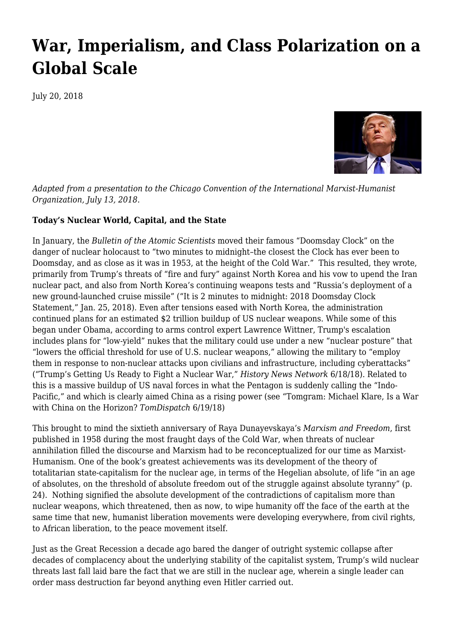# **[War, Imperialism, and Class Polarization on a](https://newpol.org/war-imperialism-and-class-polarization-global-scale/) [Global Scale](https://newpol.org/war-imperialism-and-class-polarization-global-scale/)**

July 20, 2018



*Adapted from a presentation to the Chicago Convention of the International Marxist-Humanist Organization, July 13, 2018.*

### **Today's Nuclear World, Capital, and the State**

In January, the *Bulletin of the Atomic Scientists* moved their famous "Doomsday Clock" on the danger of nuclear holocaust to "two minutes to midnight–the closest the Clock has ever been to Doomsday, and as close as it was in 1953, at the height of the Cold War." This resulted, they wrote, primarily from Trump's threats of "fire and fury" against North Korea and his vow to upend the Iran nuclear pact, and also from North Korea's continuing weapons tests and "Russia's deployment of a new ground-launched cruise missile" ("It is 2 minutes to midnight: 2018 Doomsday Clock Statement," Jan. 25, 2018). Even after tensions eased with North Korea, the administration continued plans for an estimated \$2 trillion buildup of US nuclear weapons. While some of this began under Obama, according to arms control expert Lawrence Wittner, Trump's escalation includes plans for "low-yield" nukes that the military could use under a new "nuclear posture" that "lowers the official threshold for use of U.S. nuclear weapons," allowing the military to "employ them in response to non-nuclear attacks upon civilians and infrastructure, including cyberattacks" ("Trump's Getting Us Ready to Fight a Nuclear War," *History News Network* 6/18/18). Related to this is a massive buildup of US naval forces in what the Pentagon is suddenly calling the "Indo-Pacific," and which is clearly aimed China as a rising power (see "Tomgram: Michael Klare, Is a War with China on the Horizon? *TomDispatch* 6/19/18)

This brought to mind the sixtieth anniversary of Raya Dunayevskaya's *Marxism and Freedom*, first published in 1958 during the most fraught days of the Cold War, when threats of nuclear annihilation filled the discourse and Marxism had to be reconceptualized for our time as Marxist-Humanism. One of the book's greatest achievements was its development of the theory of totalitarian state-capitalism for the nuclear age, in terms of the Hegelian absolute, of life "in an age of absolutes, on the threshold of absolute freedom out of the struggle against absolute tyranny" (p. 24). Nothing signified the absolute development of the contradictions of capitalism more than nuclear weapons, which threatened, then as now, to wipe humanity off the face of the earth at the same time that new, humanist liberation movements were developing everywhere, from civil rights, to African liberation, to the peace movement itself.

Just as the Great Recession a decade ago bared the danger of outright systemic collapse after decades of complacency about the underlying stability of the capitalist system, Trump's wild nuclear threats last fall laid bare the fact that we are still in the nuclear age, wherein a single leader can order mass destruction far beyond anything even Hitler carried out.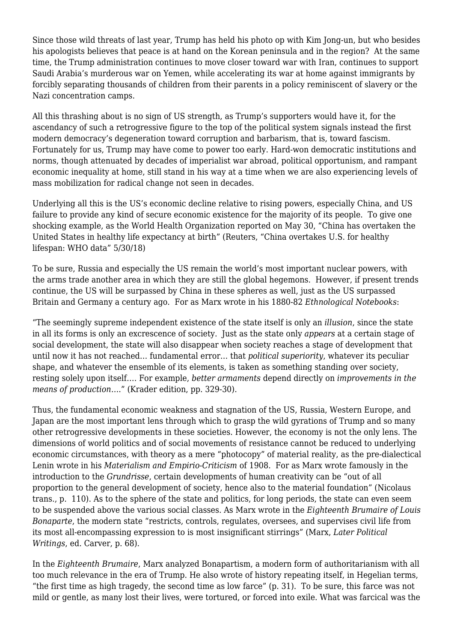Since those wild threats of last year, Trump has held his photo op with Kim Jong-un, but who besides his apologists believes that peace is at hand on the Korean peninsula and in the region? At the same time, the Trump administration continues to move closer toward war with Iran, continues to support Saudi Arabia's murderous war on Yemen, while accelerating its war at home against immigrants by forcibly separating thousands of children from their parents in a policy reminiscent of slavery or the Nazi concentration camps.

All this thrashing about is no sign of US strength, as Trump's supporters would have it, for the ascendancy of such a retrogressive figure to the top of the political system signals instead the first modern democracy's degeneration toward corruption and barbarism, that is, toward fascism. Fortunately for us, Trump may have come to power too early. Hard-won democratic institutions and norms, though attenuated by decades of imperialist war abroad, political opportunism, and rampant economic inequality at home, still stand in his way at a time when we are also experiencing levels of mass mobilization for radical change not seen in decades.

Underlying all this is the US's economic decline relative to rising powers, especially China, and US failure to provide any kind of secure economic existence for the majority of its people. To give one shocking example, as the World Health Organization reported on May 30, "China has overtaken the United States in healthy life expectancy at birth" (Reuters, "China overtakes U.S. for healthy lifespan: WHO data" 5/30/18)

To be sure, Russia and especially the US remain the world's most important nuclear powers, with the arms trade another area in which they are still the global hegemons. However, if present trends continue, the US will be surpassed by China in these spheres as well, just as the US surpassed Britain and Germany a century ago. For as Marx wrote in his 1880-82 *Ethnological Notebooks*:

"The seemingly supreme independent existence of the state itself is only an *illusion*, since the state in all its forms is only an excrescence of society. Just as the state only *appears* at a certain stage of social development, the state will also disappear when society reaches a stage of development that until now it has not reached… fundamental error… that *political superiority*, whatever its peculiar shape, and whatever the ensemble of its elements, is taken as something standing over society, resting solely upon itself…. For example, *better armaments* depend directly on *improvements in the means of production*…." (Krader edition, pp. 329-30).

Thus, the fundamental economic weakness and stagnation of the US, Russia, Western Europe, and Japan are the most important lens through which to grasp the wild gyrations of Trump and so many other retrogressive developments in these societies. However, the economy is not the only lens. The dimensions of world politics and of social movements of resistance cannot be reduced to underlying economic circumstances, with theory as a mere "photocopy" of material reality, as the pre-dialectical Lenin wrote in his *Materialism and Empirio-Criticism* of 1908. For as Marx wrote famously in the introduction to the *Grundrisse*, certain developments of human creativity can be "out of all proportion to the general development of society, hence also to the material foundation" (Nicolaus trans., p. 110). As to the sphere of the state and politics, for long periods, the state can even seem to be suspended above the various social classes. As Marx wrote in the *Eighteenth Brumaire of Louis Bonaparte*, the modern state "restricts, controls, regulates, oversees, and supervises civil life from its most all-encompassing expression to is most insignificant stirrings" (Marx, *Later Political Writings*, ed. Carver, p. 68).

In the *Eighteenth Brumaire*, Marx analyzed Bonapartism, a modern form of authoritarianism with all too much relevance in the era of Trump. He also wrote of history repeating itself, in Hegelian terms, "the first time as high tragedy, the second time as low farce" (p. 31). To be sure, this farce was not mild or gentle, as many lost their lives, were tortured, or forced into exile. What was farcical was the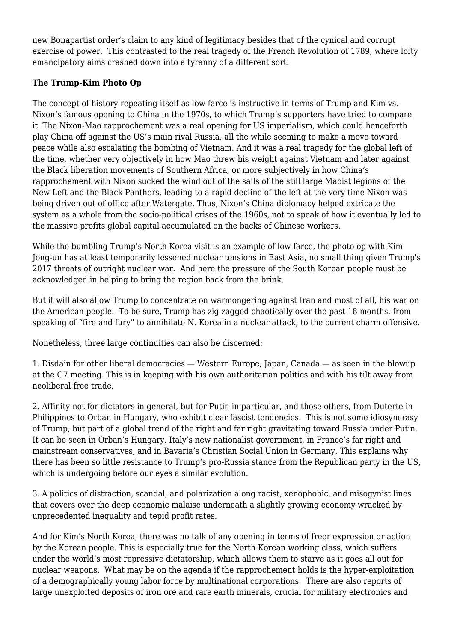new Bonapartist order's claim to any kind of legitimacy besides that of the cynical and corrupt exercise of power. This contrasted to the real tragedy of the French Revolution of 1789, where lofty emancipatory aims crashed down into a tyranny of a different sort.

## **The Trump-Kim Photo Op**

The concept of history repeating itself as low farce is instructive in terms of Trump and Kim vs. Nixon's famous opening to China in the 1970s, to which Trump's supporters have tried to compare it. The Nixon-Mao rapprochement was a real opening for US imperialism, which could henceforth play China off against the US's main rival Russia, all the while seeming to make a move toward peace while also escalating the bombing of Vietnam. And it was a real tragedy for the global left of the time, whether very objectively in how Mao threw his weight against Vietnam and later against the Black liberation movements of Southern Africa, or more subjectively in how China's rapprochement with Nixon sucked the wind out of the sails of the still large Maoist legions of the New Left and the Black Panthers, leading to a rapid decline of the left at the very time Nixon was being driven out of office after Watergate. Thus, Nixon's China diplomacy helped extricate the system as a whole from the socio-political crises of the 1960s, not to speak of how it eventually led to the massive profits global capital accumulated on the backs of Chinese workers.

While the bumbling Trump's North Korea visit is an example of low farce, the photo op with Kim Jong-un has at least temporarily lessened nuclear tensions in East Asia, no small thing given Trump's 2017 threats of outright nuclear war. And here the pressure of the South Korean people must be acknowledged in helping to bring the region back from the brink.

But it will also allow Trump to concentrate on warmongering against Iran and most of all, his war on the American people. To be sure, Trump has zig-zagged chaotically over the past 18 months, from speaking of "fire and fury" to annihilate N. Korea in a nuclear attack, to the current charm offensive.

Nonetheless, three large continuities can also be discerned:

1. Disdain for other liberal democracies — Western Europe, Japan, Canada — as seen in the blowup at the G7 meeting. This is in keeping with his own authoritarian politics and with his tilt away from neoliberal free trade.

2. Affinity not for dictators in general, but for Putin in particular, and those others, from Duterte in Philippines to Orban in Hungary, who exhibit clear fascist tendencies. This is not some idiosyncrasy of Trump, but part of a global trend of the right and far right gravitating toward Russia under Putin. It can be seen in Orban's Hungary, Italy's new nationalist government, in France's far right and mainstream conservatives, and in Bavaria's Christian Social Union in Germany. This explains why there has been so little resistance to Trump's pro-Russia stance from the Republican party in the US, which is undergoing before our eyes a similar evolution.

3. A politics of distraction, scandal, and polarization along racist, xenophobic, and misogynist lines that covers over the deep economic malaise underneath a slightly growing economy wracked by unprecedented inequality and tepid profit rates.

And for Kim's North Korea, there was no talk of any opening in terms of freer expression or action by the Korean people. This is especially true for the North Korean working class, which suffers under the world's most repressive dictatorship, which allows them to starve as it goes all out for nuclear weapons. What may be on the agenda if the rapprochement holds is the hyper-exploitation of a demographically young labor force by multinational corporations. There are also reports of large unexploited deposits of iron ore and rare earth minerals, crucial for military electronics and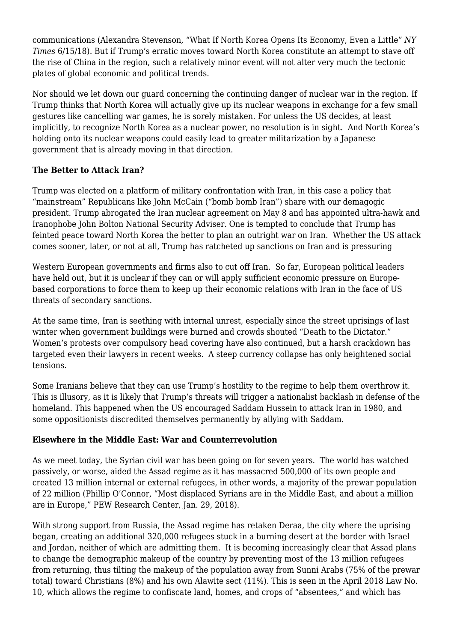communications (Alexandra Stevenson, "What If North Korea Opens Its Economy, Even a Little" *NY Times* 6/15/18). But if Trump's erratic moves toward North Korea constitute an attempt to stave off the rise of China in the region, such a relatively minor event will not alter very much the tectonic plates of global economic and political trends.

Nor should we let down our guard concerning the continuing danger of nuclear war in the region. If Trump thinks that North Korea will actually give up its nuclear weapons in exchange for a few small gestures like cancelling war games, he is sorely mistaken. For unless the US decides, at least implicitly, to recognize North Korea as a nuclear power, no resolution is in sight. And North Korea's holding onto its nuclear weapons could easily lead to greater militarization by a Japanese government that is already moving in that direction.

### **The Better to Attack Iran?**

Trump was elected on a platform of military confrontation with Iran, in this case a policy that "mainstream" Republicans like John McCain ("bomb bomb Iran") share with our demagogic president. Trump abrogated the Iran nuclear agreement on May 8 and has appointed ultra-hawk and Iranophobe John Bolton National Security Adviser. One is tempted to conclude that Trump has feinted peace toward North Korea the better to plan an outright war on Iran. Whether the US attack comes sooner, later, or not at all, Trump has ratcheted up sanctions on Iran and is pressuring

Western European governments and firms also to cut off Iran. So far, European political leaders have held out, but it is unclear if they can or will apply sufficient economic pressure on Europebased corporations to force them to keep up their economic relations with Iran in the face of US threats of secondary sanctions.

At the same time, Iran is seething with internal unrest, especially since the street uprisings of last winter when government buildings were burned and crowds shouted "Death to the Dictator." Women's protests over compulsory head covering have also continued, but a harsh crackdown has targeted even their lawyers in recent weeks. A steep currency collapse has only heightened social tensions.

Some Iranians believe that they can use Trump's hostility to the regime to help them overthrow it. This is illusory, as it is likely that Trump's threats will trigger a nationalist backlash in defense of the homeland. This happened when the US encouraged Saddam Hussein to attack Iran in 1980, and some oppositionists discredited themselves permanently by allying with Saddam.

### **Elsewhere in the Middle East: War and Counterrevolution**

As we meet today, the Syrian civil war has been going on for seven years. The world has watched passively, or worse, aided the Assad regime as it has massacred 500,000 of its own people and created 13 million internal or external refugees, in other words, a majority of the prewar population of 22 million (Phillip O'Connor, "Most displaced Syrians are in the Middle East, and about a million are in Europe," PEW Research Center, Jan. 29, 2018).

With strong support from Russia, the Assad regime has retaken Deraa, the city where the uprising began, creating an additional 320,000 refugees stuck in a burning desert at the border with Israel and Jordan, neither of which are admitting them. It is becoming increasingly clear that Assad plans to change the demographic makeup of the country by preventing most of the 13 million refugees from returning, thus tilting the makeup of the population away from Sunni Arabs (75% of the prewar total) toward Christians (8%) and his own Alawite sect (11%). This is seen in the April 2018 Law No. 10, which allows the regime to confiscate land, homes, and crops of "absentees," and which has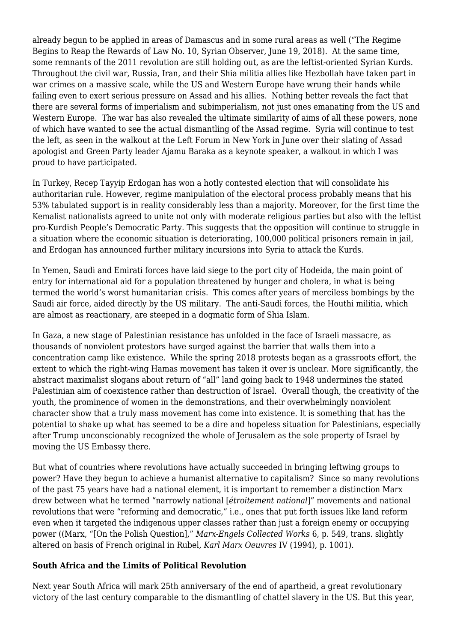already begun to be applied in areas of Damascus and in some rural areas as well ("The Regime Begins to Reap the Rewards of Law No. 10, Syrian Observer, June 19, 2018). At the same time, some remnants of the 2011 revolution are still holding out, as are the leftist-oriented Syrian Kurds. Throughout the civil war, Russia, Iran, and their Shia militia allies like Hezbollah have taken part in war crimes on a massive scale, while the US and Western Europe have wrung their hands while failing even to exert serious pressure on Assad and his allies. Nothing better reveals the fact that there are several forms of imperialism and subimperialism, not just ones emanating from the US and Western Europe. The war has also revealed the ultimate similarity of aims of all these powers, none of which have wanted to see the actual dismantling of the Assad regime. Syria will continue to test the left, as seen in the walkout at the Left Forum in New York in June over their slating of Assad apologist and Green Party leader Ajamu Baraka as a keynote speaker, a walkout in which I was proud to have participated.

In Turkey, Recep Tayyip Erdogan has won a hotly contested election that will consolidate his authoritarian rule. However, regime manipulation of the electoral process probably means that his 53% tabulated support is in reality considerably less than a majority. Moreover, for the first time the Kemalist nationalists agreed to unite not only with moderate religious parties but also with the leftist pro-Kurdish People's Democratic Party. This suggests that the opposition will continue to struggle in a situation where the economic situation is deteriorating, 100,000 political prisoners remain in jail, and Erdogan has announced further military incursions into Syria to attack the Kurds.

In Yemen, Saudi and Emirati forces have laid siege to the port city of Hodeida, the main point of entry for international aid for a population threatened by hunger and cholera, in what is being termed the world's worst humanitarian crisis. This comes after years of merciless bombings by the Saudi air force, aided directly by the US military. The anti-Saudi forces, the Houthi militia, which are almost as reactionary, are steeped in a dogmatic form of Shia Islam.

In Gaza, a new stage of Palestinian resistance has unfolded in the face of Israeli massacre, as thousands of nonviolent protestors have surged against the barrier that walls them into a concentration camp like existence. While the spring 2018 protests began as a grassroots effort, the extent to which the right-wing Hamas movement has taken it over is unclear. More significantly, the abstract maximalist slogans about return of "all" land going back to 1948 undermines the stated Palestinian aim of coexistence rather than destruction of Israel. Overall though, the creativity of the youth, the prominence of women in the demonstrations, and their overwhelmingly nonviolent character show that a truly mass movement has come into existence. It is something that has the potential to shake up what has seemed to be a dire and hopeless situation for Palestinians, especially after Trump unconscionably recognized the whole of Jerusalem as the sole property of Israel by moving the US Embassy there.

But what of countries where revolutions have actually succeeded in bringing leftwing groups to power? Have they begun to achieve a humanist alternative to capitalism? Since so many revolutions of the past 75 years have had a national element, it is important to remember a distinction Marx drew between what he termed "narrowly national [*étroitement national*]" movements and national revolutions that were "reforming and democratic," i.e., ones that put forth issues like land reform even when it targeted the indigenous upper classes rather than just a foreign enemy or occupying power ((Marx, "[On the Polish Question]," *Marx-Engels Collected Works* 6, p. 549, trans. slightly altered on basis of French original in Rubel, *Karl Marx Oeuvres* IV (1994), p. 1001).

### **South Africa and the Limits of Political Revolution**

Next year South Africa will mark 25th anniversary of the end of apartheid, a great revolutionary victory of the last century comparable to the dismantling of chattel slavery in the US. But this year,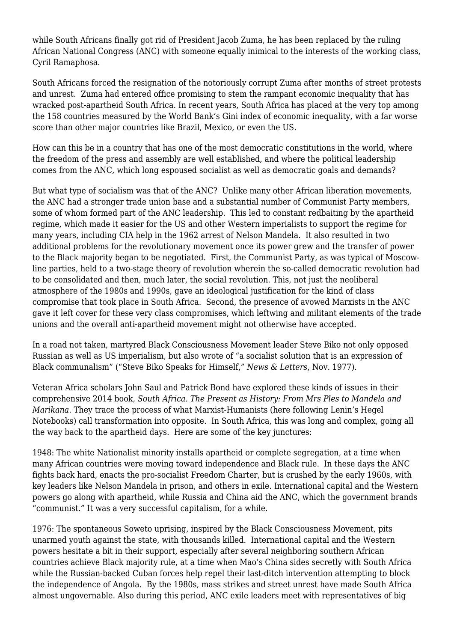while South Africans finally got rid of President Jacob Zuma, he has been replaced by the ruling African National Congress (ANC) with someone equally inimical to the interests of the working class, Cyril Ramaphosa.

South Africans forced the resignation of the notoriously corrupt Zuma after months of street protests and unrest. Zuma had entered office promising to stem the rampant economic inequality that has wracked post-apartheid South Africa. In recent years, South Africa has placed at the very top among the 158 countries measured by the World Bank's Gini index of economic inequality, with a far worse score than other major countries like Brazil, Mexico, or even the US.

How can this be in a country that has one of the most democratic constitutions in the world, where the freedom of the press and assembly are well established, and where the political leadership comes from the ANC, which long espoused socialist as well as democratic goals and demands?

But what type of socialism was that of the ANC? Unlike many other African liberation movements, the ANC had a stronger trade union base and a substantial number of Communist Party members, some of whom formed part of the ANC leadership. This led to constant redbaiting by the apartheid regime, which made it easier for the US and other Western imperialists to support the regime for many years, including CIA help in the 1962 arrest of Nelson Mandela. It also resulted in two additional problems for the revolutionary movement once its power grew and the transfer of power to the Black majority began to be negotiated. First, the Communist Party, as was typical of Moscowline parties, held to a two-stage theory of revolution wherein the so-called democratic revolution had to be consolidated and then, much later, the social revolution. This, not just the neoliberal atmosphere of the 1980s and 1990s, gave an ideological justification for the kind of class compromise that took place in South Africa. Second, the presence of avowed Marxists in the ANC gave it left cover for these very class compromises, which leftwing and militant elements of the trade unions and the overall anti-apartheid movement might not otherwise have accepted.

In a road not taken, martyred Black Consciousness Movement leader Steve Biko not only opposed Russian as well as US imperialism, but also wrote of "a socialist solution that is an expression of Black communalism" ("Steve Biko Speaks for Himself," *News & Letters*, Nov. 1977).

Veteran Africa scholars John Saul and Patrick Bond have explored these kinds of issues in their comprehensive 2014 book, *South Africa. The Present as History: From Mrs Ples to Mandela and Marikana*. They trace the process of what Marxist-Humanists (here following Lenin's Hegel Notebooks) call transformation into opposite. In South Africa, this was long and complex, going all the way back to the apartheid days. Here are some of the key junctures:

1948: The white Nationalist minority installs apartheid or complete segregation, at a time when many African countries were moving toward independence and Black rule. In these days the ANC fights back hard, enacts the pro-socialist Freedom Charter, but is crushed by the early 1960s, with key leaders like Nelson Mandela in prison, and others in exile. International capital and the Western powers go along with apartheid, while Russia and China aid the ANC, which the government brands "communist." It was a very successful capitalism, for a while.

1976: The spontaneous Soweto uprising, inspired by the Black Consciousness Movement, pits unarmed youth against the state, with thousands killed. International capital and the Western powers hesitate a bit in their support, especially after several neighboring southern African countries achieve Black majority rule, at a time when Mao's China sides secretly with South Africa while the Russian-backed Cuban forces help repel their last-ditch intervention attempting to block the independence of Angola. By the 1980s, mass strikes and street unrest have made South Africa almost ungovernable. Also during this period, ANC exile leaders meet with representatives of big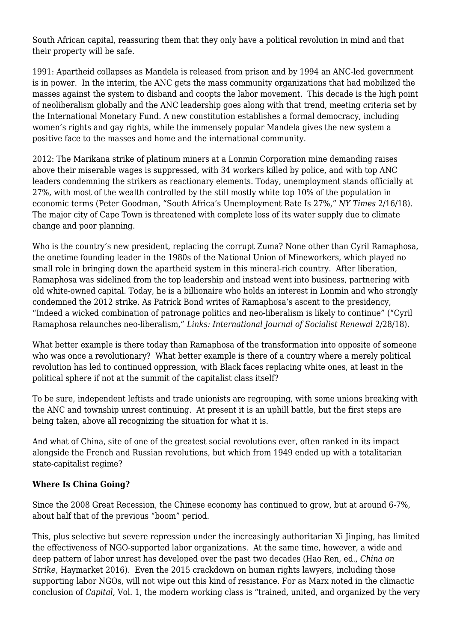South African capital, reassuring them that they only have a political revolution in mind and that their property will be safe.

1991: Apartheid collapses as Mandela is released from prison and by 1994 an ANC-led government is in power. In the interim, the ANC gets the mass community organizations that had mobilized the masses against the system to disband and coopts the labor movement. This decade is the high point of neoliberalism globally and the ANC leadership goes along with that trend, meeting criteria set by the International Monetary Fund. A new constitution establishes a formal democracy, including women's rights and gay rights, while the immensely popular Mandela gives the new system a positive face to the masses and home and the international community.

2012: The Marikana strike of platinum miners at a Lonmin Corporation mine demanding raises above their miserable wages is suppressed, with 34 workers killed by police, and with top ANC leaders condemning the strikers as reactionary elements. Today, unemployment stands officially at 27%, with most of the wealth controlled by the still mostly white top 10% of the population in economic terms (Peter Goodman, "South Africa's Unemployment Rate Is 27%," *NY Times* 2/16/18). The major city of Cape Town is threatened with complete loss of its water supply due to climate change and poor planning.

Who is the country's new president, replacing the corrupt Zuma? None other than Cyril Ramaphosa, the onetime founding leader in the 1980s of the National Union of Mineworkers, which played no small role in bringing down the apartheid system in this mineral-rich country. After liberation, Ramaphosa was sidelined from the top leadership and instead went into business, partnering with old white-owned capital. Today, he is a billionaire who holds an interest in Lonmin and who strongly condemned the 2012 strike. As Patrick Bond writes of Ramaphosa's ascent to the presidency, "Indeed a wicked combination of patronage politics and neo-liberalism is likely to continue" ("Cyril Ramaphosa relaunches neo-liberalism," *Links: International Journal of Socialist Renewal* 2/28/18).

What better example is there today than Ramaphosa of the transformation into opposite of someone who was once a revolutionary? What better example is there of a country where a merely political revolution has led to continued oppression, with Black faces replacing white ones, at least in the political sphere if not at the summit of the capitalist class itself?

To be sure, independent leftists and trade unionists are regrouping, with some unions breaking with the ANC and township unrest continuing. At present it is an uphill battle, but the first steps are being taken, above all recognizing the situation for what it is.

And what of China, site of one of the greatest social revolutions ever, often ranked in its impact alongside the French and Russian revolutions, but which from 1949 ended up with a totalitarian state-capitalist regime?

### **Where Is China Going?**

Since the 2008 Great Recession, the Chinese economy has continued to grow, but at around 6-7%, about half that of the previous "boom" period.

This, plus selective but severe repression under the increasingly authoritarian Xi Jinping, has limited the effectiveness of NGO-supported labor organizations. At the same time, however, a wide and deep pattern of labor unrest has developed over the past two decades (Hao Ren, ed., *China on Strike*, Haymarket 2016). Even the 2015 crackdown on human rights lawyers, including those supporting labor NGOs, will not wipe out this kind of resistance. For as Marx noted in the climactic conclusion of *Capital*, Vol. 1, the modern working class is "trained, united, and organized by the very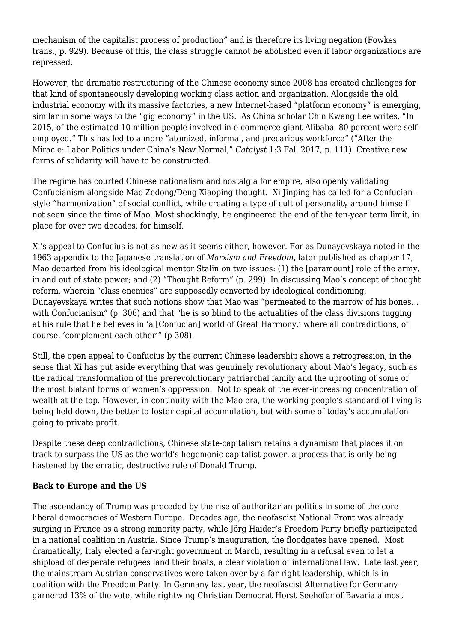mechanism of the capitalist process of production" and is therefore its living negation (Fowkes trans., p. 929). Because of this, the class struggle cannot be abolished even if labor organizations are repressed.

However, the dramatic restructuring of the Chinese economy since 2008 has created challenges for that kind of spontaneously developing working class action and organization. Alongside the old industrial economy with its massive factories, a new Internet-based "platform economy" is emerging, similar in some ways to the "gig economy" in the US. As China scholar Chin Kwang Lee writes, "In 2015, of the estimated 10 million people involved in e-commerce giant Alibaba, 80 percent were selfemployed." This has led to a more "atomized, informal, and precarious workforce" ("After the Miracle: Labor Politics under China's New Normal," *Catalyst* 1:3 Fall 2017, p. 111). Creative new forms of solidarity will have to be constructed.

The regime has courted Chinese nationalism and nostalgia for empire, also openly validating Confucianism alongside Mao Zedong/Deng Xiaoping thought. Xi Jinping has called for a Confucianstyle "harmonization" of social conflict, while creating a type of cult of personality around himself not seen since the time of Mao. Most shockingly, he engineered the end of the ten-year term limit, in place for over two decades, for himself.

Xi's appeal to Confucius is not as new as it seems either, however. For as Dunayevskaya noted in the 1963 appendix to the Japanese translation of *Marxism and Freedom*, later published as chapter 17, Mao departed from his ideological mentor Stalin on two issues: (1) the [paramount] role of the army, in and out of state power; and (2) "Thought Reform" (p. 299). In discussing Mao's concept of thought reform, wherein "class enemies" are supposedly converted by ideological conditioning, Dunayevskaya writes that such notions show that Mao was "permeated to the marrow of his bones… with Confucianism" (p. 306) and that "he is so blind to the actualities of the class divisions tugging at his rule that he believes in 'a [Confucian] world of Great Harmony,' where all contradictions, of course, 'complement each other'" (p 308).

Still, the open appeal to Confucius by the current Chinese leadership shows a retrogression, in the sense that Xi has put aside everything that was genuinely revolutionary about Mao's legacy, such as the radical transformation of the prerevolutionary patriarchal family and the uprooting of some of the most blatant forms of women's oppression. Not to speak of the ever-increasing concentration of wealth at the top. However, in continuity with the Mao era, the working people's standard of living is being held down, the better to foster capital accumulation, but with some of today's accumulation going to private profit.

Despite these deep contradictions, Chinese state-capitalism retains a dynamism that places it on track to surpass the US as the world's hegemonic capitalist power, a process that is only being hastened by the erratic, destructive rule of Donald Trump.

### **Back to Europe and the US**

The ascendancy of Trump was preceded by the rise of authoritarian politics in some of the core liberal democracies of Western Europe. Decades ago, the neofascist National Front was already surging in France as a strong minority party, while Jörg Haider's Freedom Party briefly participated in a national coalition in Austria. Since Trump's inauguration, the floodgates have opened. Most dramatically, Italy elected a far-right government in March, resulting in a refusal even to let a shipload of desperate refugees land their boats, a clear violation of international law. Late last year, the mainstream Austrian conservatives were taken over by a far-right leadership, which is in coalition with the Freedom Party. In Germany last year, the neofascist Alternative for Germany garnered 13% of the vote, while rightwing Christian Democrat Horst Seehofer of Bavaria almost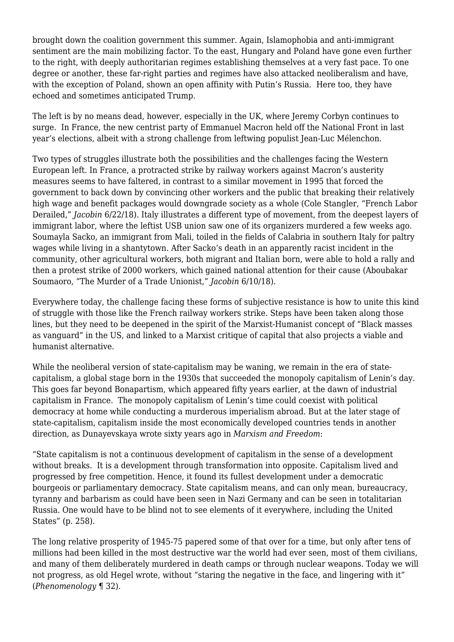brought down the coalition government this summer. Again, Islamophobia and anti-immigrant sentiment are the main mobilizing factor. To the east, Hungary and Poland have gone even further to the right, with deeply authoritarian regimes establishing themselves at a very fast pace. To one degree or another, these far-right parties and regimes have also attacked neoliberalism and have, with the exception of Poland, shown an open affinity with Putin's Russia. Here too, they have echoed and sometimes anticipated Trump.

The left is by no means dead, however, especially in the UK, where Jeremy Corbyn continues to surge. In France, the new centrist party of Emmanuel Macron held off the National Front in last year's elections, albeit with a strong challenge from leftwing populist Jean-Luc Mélenchon.

Two types of struggles illustrate both the possibilities and the challenges facing the Western European left. In France, a protracted strike by railway workers against Macron's austerity measures seems to have faltered, in contrast to a similar movement in 1995 that forced the government to back down by convincing other workers and the public that breaking their relatively high wage and benefit packages would downgrade society as a whole (Cole Stangler, "French Labor Derailed," *Jacobin* 6/22/18). Italy illustrates a different type of movement, from the deepest layers of immigrant labor, where the leftist USB union saw one of its organizers murdered a few weeks ago. Soumayla Sacko, an immigrant from Mali, toiled in the fields of Calabria in southern Italy for paltry wages while living in a shantytown. After Sacko's death in an apparently racist incident in the community, other agricultural workers, both migrant and Italian born, were able to hold a rally and then a protest strike of 2000 workers, which gained national attention for their cause (Aboubakar Soumaoro, "The Murder of a Trade Unionist," *Jacobin* 6/10/18).

Everywhere today, the challenge facing these forms of subjective resistance is how to unite this kind of struggle with those like the French railway workers strike. Steps have been taken along those lines, but they need to be deepened in the spirit of the Marxist-Humanist concept of "Black masses as vanguard" in the US, and linked to a Marxist critique of capital that also projects a viable and humanist alternative.

While the neoliberal version of state-capitalism may be waning, we remain in the era of statecapitalism, a global stage born in the 1930s that succeeded the monopoly capitalism of Lenin's day. This goes far beyond Bonapartism, which appeared fifty years earlier, at the dawn of industrial capitalism in France. The monopoly capitalism of Lenin's time could coexist with political democracy at home while conducting a murderous imperialism abroad. But at the later stage of state-capitalism, capitalism inside the most economically developed countries tends in another direction, as Dunayevskaya wrote sixty years ago in *Marxism and Freedom*:

"State capitalism is not a continuous development of capitalism in the sense of a development without breaks. It is a development through transformation into opposite. Capitalism lived and progressed by free competition. Hence, it found its fullest development under a democratic bourgeois or parliamentary democracy. State capitalism means, and can only mean, bureaucracy, tyranny and barbarism as could have been seen in Nazi Germany and can be seen in totalitarian Russia. One would have to be blind not to see elements of it everywhere, including the United States" (p. 258).

The long relative prosperity of 1945-75 papered some of that over for a time, but only after tens of millions had been killed in the most destructive war the world had ever seen, most of them civilians, and many of them deliberately murdered in death camps or through nuclear weapons. Today we will not progress, as old Hegel wrote, without "staring the negative in the face, and lingering with it" (*Phenomenology* ¶ 32).